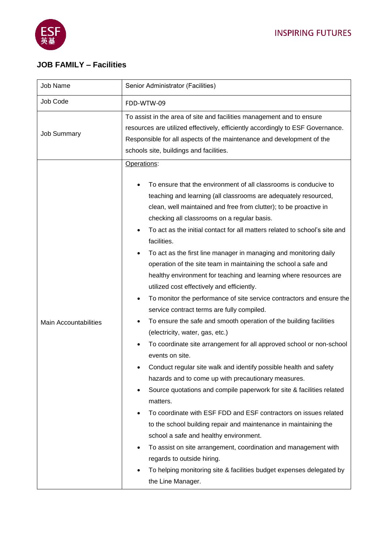

## **JOB FAMILY – Facilities**

| Job Name                     | Senior Administrator (Facilities)                                                                                                                                                                                                                                                                                                                                                                                                                                                                                                                                                                                                                                                                                                                                                                                                                                                                                                                                                                                                                                                                                                                                                                                                                                                                                                                                                                                                                                                                                                                                                 |
|------------------------------|-----------------------------------------------------------------------------------------------------------------------------------------------------------------------------------------------------------------------------------------------------------------------------------------------------------------------------------------------------------------------------------------------------------------------------------------------------------------------------------------------------------------------------------------------------------------------------------------------------------------------------------------------------------------------------------------------------------------------------------------------------------------------------------------------------------------------------------------------------------------------------------------------------------------------------------------------------------------------------------------------------------------------------------------------------------------------------------------------------------------------------------------------------------------------------------------------------------------------------------------------------------------------------------------------------------------------------------------------------------------------------------------------------------------------------------------------------------------------------------------------------------------------------------------------------------------------------------|
| Job Code                     | FDD-WTW-09                                                                                                                                                                                                                                                                                                                                                                                                                                                                                                                                                                                                                                                                                                                                                                                                                                                                                                                                                                                                                                                                                                                                                                                                                                                                                                                                                                                                                                                                                                                                                                        |
| <b>Job Summary</b>           | To assist in the area of site and facilities management and to ensure<br>resources are utilized effectively, efficiently accordingly to ESF Governance.<br>Responsible for all aspects of the maintenance and development of the<br>schools site, buildings and facilities.                                                                                                                                                                                                                                                                                                                                                                                                                                                                                                                                                                                                                                                                                                                                                                                                                                                                                                                                                                                                                                                                                                                                                                                                                                                                                                       |
| <b>Main Accountabilities</b> | Operations:<br>To ensure that the environment of all classrooms is conducive to<br>teaching and learning (all classrooms are adequately resourced,<br>clean, well maintained and free from clutter); to be proactive in<br>checking all classrooms on a regular basis.<br>To act as the initial contact for all matters related to school's site and<br>facilities.<br>To act as the first line manager in managing and monitoring daily<br>operation of the site team in maintaining the school a safe and<br>healthy environment for teaching and learning where resources are<br>utilized cost effectively and efficiently.<br>To monitor the performance of site service contractors and ensure the<br>٠<br>service contract terms are fully compiled.<br>To ensure the safe and smooth operation of the building facilities<br>٠<br>(electricity, water, gas, etc.)<br>To coordinate site arrangement for all approved school or non-school<br>$\bullet$<br>events on site.<br>Conduct regular site walk and identify possible health and safety<br>hazards and to come up with precautionary measures.<br>Source quotations and compile paperwork for site & facilities related<br>matters.<br>To coordinate with ESF FDD and ESF contractors on issues related<br>to the school building repair and maintenance in maintaining the<br>school a safe and healthy environment.<br>To assist on site arrangement, coordination and management with<br>regards to outside hiring.<br>To helping monitoring site & facilities budget expenses delegated by<br>the Line Manager. |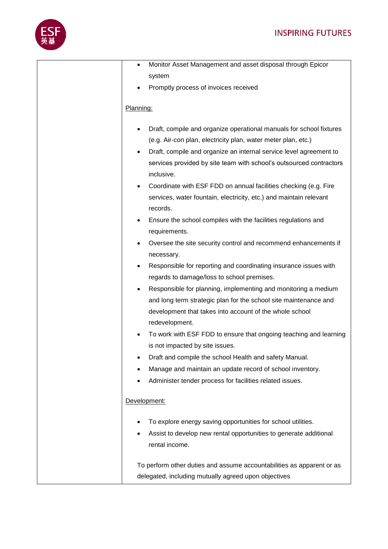

| Monitor Asset Management and asset disposal through Epicor<br>$\bullet$          |
|----------------------------------------------------------------------------------|
| system                                                                           |
| Promptly process of invoices received                                            |
|                                                                                  |
| Planning:                                                                        |
| Draft, compile and organize operational manuals for school fixtures<br>$\bullet$ |
| (e.g. Air-con plan, electricity plan, water meter plan, etc.)                    |
| Draft, compile and organize an internal service level agreement to<br>$\bullet$  |
| services provided by site team with school's outsourced contractors              |
| inclusive.                                                                       |
| Coordinate with ESF FDD on annual facilities checking (e.g. Fire                 |
| services, water fountain, electricity, etc.) and maintain relevant               |
| records.                                                                         |
| Ensure the school compiles with the facilities regulations and<br>٠              |
| requirements.                                                                    |
| Oversee the site security control and recommend enhancements if<br>٠             |
| necessary.                                                                       |
| Responsible for reporting and coordinating insurance issues with<br>٠            |
| regards to damage/loss to school premises.                                       |
| Responsible for planning, implementing and monitoring a medium<br>$\bullet$      |
| and long term strategic plan for the school site maintenance and                 |
| development that takes into account of the whole school                          |
| redevelopment.                                                                   |
| To work with ESF FDD to ensure that ongoing teaching and learning                |
| is not impacted by site issues.                                                  |
| Draft and compile the school Health and safety Manual.<br>٠                      |
| Manage and maintain an update record of school inventory.<br>٠                   |
| Administer tender process for facilities related issues.<br>٠                    |
|                                                                                  |
| Development:                                                                     |
| To explore energy saving opportunities for school utilities.                     |
| Assist to develop new rental opportunities to generate additional<br>٠           |
| rental income.                                                                   |
|                                                                                  |
| To perform other duties and assume accountabilities as apparent or as            |
| delegated, including mutually agreed upon objectives                             |